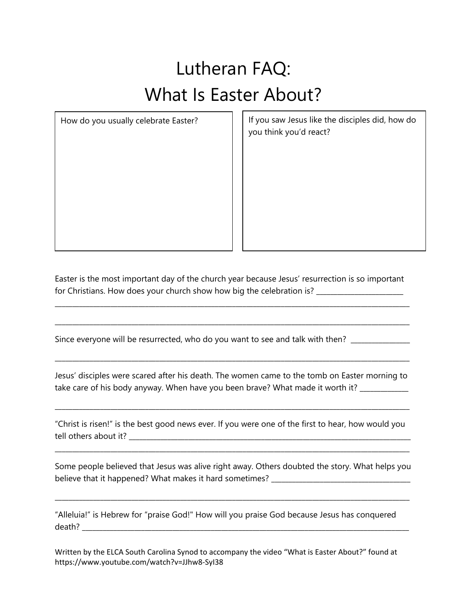## Lutheran FAQ: What Is Easter About?

How do you usually celebrate Easter?  $\vert \vert$  If you saw Jesus like the disciples did, how do you think you'd react?

Easter is the most important day of the church year because Jesus' resurrection is so important for Christians. How does your church show how big the celebration is? \_\_\_\_\_\_\_\_\_\_\_\_\_\_\_\_\_

\_\_\_\_\_\_\_\_\_\_\_\_\_\_\_\_\_\_\_\_\_\_\_\_\_\_\_\_\_\_\_\_\_\_\_\_\_\_\_\_\_\_\_\_\_\_\_\_\_\_\_\_\_\_\_\_\_\_\_\_\_\_\_\_\_\_\_\_\_\_\_\_\_\_\_\_\_\_\_\_\_\_\_\_\_\_\_\_\_\_\_\_\_\_\_\_\_\_\_\_\_\_

\_\_\_\_\_\_\_\_\_\_\_\_\_\_\_\_\_\_\_\_\_\_\_\_\_\_\_\_\_\_\_\_\_\_\_\_\_\_\_\_\_\_\_\_\_\_\_\_\_\_\_\_\_\_\_\_\_\_\_\_\_\_\_\_\_\_\_\_\_\_\_\_\_\_\_\_\_\_\_\_\_\_\_\_\_\_\_\_\_\_\_\_\_\_\_\_\_\_\_\_\_\_

Since everyone will be resurrected, who do you want to see and talk with then? \_\_\_\_\_\_\_\_\_\_\_\_\_\_\_\_\_\_\_\_\_

Jesus' disciples were scared after his death. The women came to the tomb on Easter morning to take care of his body anyway. When have you been brave? What made it worth it? \_\_\_\_\_\_\_\_\_

\_\_\_\_\_\_\_\_\_\_\_\_\_\_\_\_\_\_\_\_\_\_\_\_\_\_\_\_\_\_\_\_\_\_\_\_\_\_\_\_\_\_\_\_\_\_\_\_\_\_\_\_\_\_\_\_\_\_\_\_\_\_\_\_\_\_\_\_\_\_\_\_\_\_\_\_\_\_\_\_\_\_\_\_\_\_\_\_\_\_\_\_\_\_\_\_\_\_\_\_\_\_

\_\_\_\_\_\_\_\_\_\_\_\_\_\_\_\_\_\_\_\_\_\_\_\_\_\_\_\_\_\_\_\_\_\_\_\_\_\_\_\_\_\_\_\_\_\_\_\_\_\_\_\_\_\_\_\_\_\_\_\_\_\_\_\_\_\_\_\_\_\_\_\_\_\_\_\_\_\_\_\_\_\_\_\_\_\_\_\_\_\_\_\_\_\_\_\_\_\_\_\_\_\_

"Christ is risen!" is the best good news ever. If you were one of the first to hear, how would you tell others about it? \_\_\_\_\_\_\_\_\_\_\_\_\_\_\_\_\_\_\_\_\_\_\_\_\_\_\_\_\_\_\_\_\_\_\_\_\_\_\_\_\_\_\_\_\_\_\_\_\_\_\_\_\_\_\_\_\_\_\_\_\_\_\_\_\_\_\_\_\_\_\_\_\_\_\_\_\_\_\_\_\_

\_\_\_\_\_\_\_\_\_\_\_\_\_\_\_\_\_\_\_\_\_\_\_\_\_\_\_\_\_\_\_\_\_\_\_\_\_\_\_\_\_\_\_\_\_\_\_\_\_\_\_\_\_\_\_\_\_\_\_\_\_\_\_\_\_\_\_\_\_\_\_\_\_\_\_\_\_\_\_\_\_\_\_\_\_\_\_\_\_\_\_\_\_\_\_\_\_\_\_\_\_\_

Some people believed that Jesus was alive right away. Others doubted the story. What helps you believe that it happened? What makes it hard sometimes? \_\_\_\_\_\_\_\_\_\_\_\_\_\_\_\_\_\_\_\_\_\_\_\_\_

\_\_\_\_\_\_\_\_\_\_\_\_\_\_\_\_\_\_\_\_\_\_\_\_\_\_\_\_\_\_\_\_\_\_\_\_\_\_\_\_\_\_\_\_\_\_\_\_\_\_\_\_\_\_\_\_\_\_\_\_\_\_\_\_\_\_\_\_\_\_\_\_\_\_\_\_\_\_\_\_\_\_\_\_\_\_\_\_\_\_\_\_\_\_\_\_\_\_\_\_\_\_

"Alleluia!" is Hebrew for "praise God!" How will you praise God because Jesus has conquered death? \_\_\_\_\_\_\_\_\_\_\_\_\_\_\_\_\_\_\_\_\_\_\_\_\_\_\_\_\_\_\_\_\_\_\_\_\_\_\_\_\_\_\_\_\_\_\_\_\_\_\_\_\_\_\_\_\_\_\_\_\_\_\_\_\_\_\_\_\_\_\_\_\_\_\_\_\_\_\_\_\_\_\_\_\_\_\_\_\_\_\_\_\_\_

Written by the ELCA South Carolina Synod to accompany the video "What is Easter About?" found at https://www.youtube.com/watch?v=JJhw8-SyI38